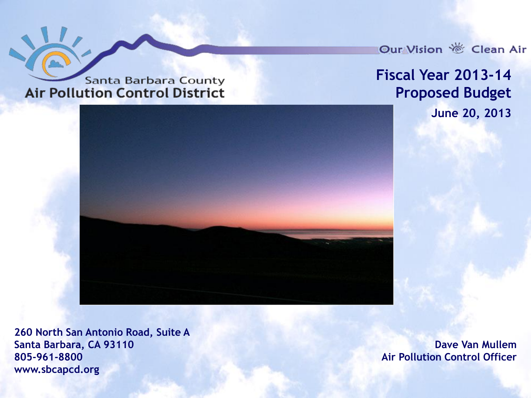**Santa Barbara County Air Pollution Control District** 

Our Vision *S* Clean Air

#### **Fiscal Year 2013-14 Proposed Budget June 20, 2013**

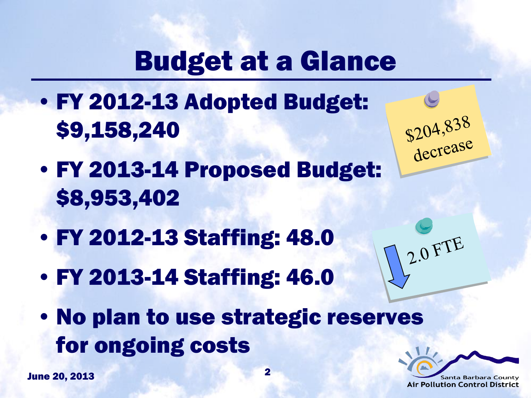# Budget at a Glance

- FY 2012-13 Adopted Budget: \$9,158,240
- FY 2013-14 Proposed Budget: \$8,953,402
- FY 2012-13 Staffing: 48.0
- FY 2013-14 Staffing: 46.0
- No plan to use strategic reserves for ongoing costs

June 20, 2013 2



\$204,838<br>decrease

2.0 FTE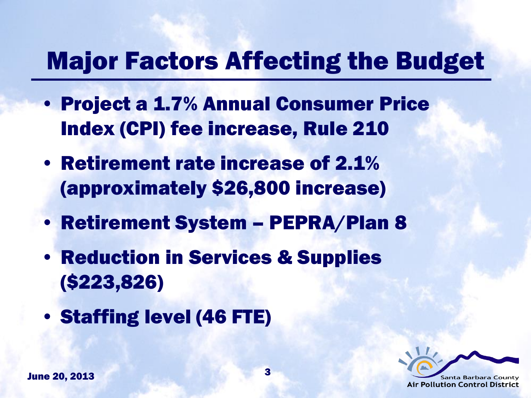## Major Factors Affecting the Budget

- Project a 1.7% Annual Consumer Price Index (CPI) fee increase, Rule 210
- Retirement rate increase of 2.1% (approximately \$26,800 increase)
- Retirement System PEPRA/Plan 8
- Reduction in Services & Supplies (\$223,826)
- Staffing level (46 FTE)

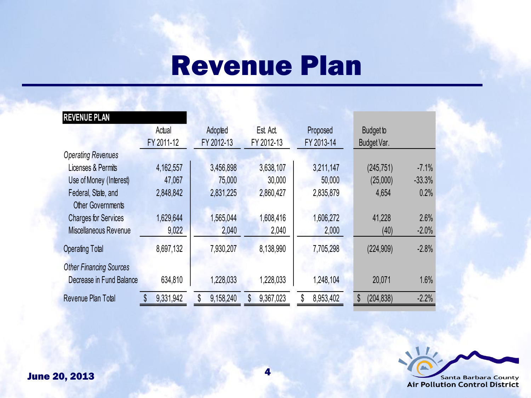## Revenue Plan

| <b>REVENUE PLAN</b>            |            |            |            |                 |                  |          |
|--------------------------------|------------|------------|------------|-----------------|------------------|----------|
|                                | Actual     | Adopted    | Est Act.   | Proposed        | <b>Budget to</b> |          |
|                                | FY 2011-12 | FY 2012-13 | FY 2012-13 | FY 2013-14      | Budget Var.      |          |
| <b>Operating Revenues</b>      |            |            |            |                 |                  |          |
| Licenses & Permits             | 4,162,557  | 3,456,898  | 3,638,107  | 3,211,147       | (245, 751)       | $-7.1%$  |
| Use of Money (Interest)        | 47,067     | 75,000     | 30,000     | 50,000          | (25,000)         | $-33.3%$ |
| Federal, State, and            | 2,848,842  | 2,831,225  | 2,860,427  | 2,835,879       | 4,654            | 0.2%     |
| <b>Other Governments</b>       |            |            |            |                 |                  |          |
| <b>Charges for Services</b>    | 1,629,644  | 1,565,044  | 1,608,416  | 1,606,272       | 41,228           | 2.6%     |
| Miscellaneous Revenue          | 9,022      | 2,040      | 2,040      | 2,000           | (40)             | $-2.0%$  |
| <b>Operating Total</b>         | 8,697,132  | 7,930,207  | 8,138,990  | 7,705,298       | (224, 909)       | $-2.8%$  |
| <b>Other Financing Sources</b> |            |            |            |                 |                  |          |
| Decrease in Fund Balance       | 634,810    | 1,228,033  | 1,228,033  | 1,248,104       | 20,071           | 1.6%     |
| Revenue Plan Total             | 9,331,942  | 9,158,240  | 9,367,023  | 8,953,402<br>\$ | (204, 838)<br>\$ | $-2.2%$  |

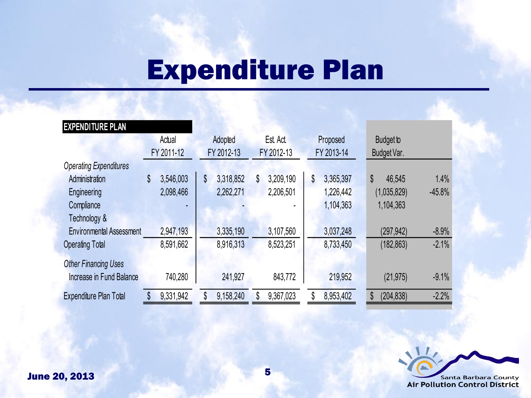# Expenditure Plan

| <b>EXPENDITURE PLAN</b>         |            |           |            |           |            |           |            |           |                  |          |
|---------------------------------|------------|-----------|------------|-----------|------------|-----------|------------|-----------|------------------|----------|
|                                 | Actual     |           | Adopted    |           | Est Act    |           | Proposed   |           | <b>Budget to</b> |          |
|                                 | FY 2011-12 |           | FY 2012-13 |           | FY 2012-13 |           | FY 2013-14 |           | Budget Var.      |          |
| <b>Operating Expenditures</b>   |            |           |            |           |            |           |            |           |                  |          |
| Administration                  | \$         | 3,546,003 | \$         | 3,318,852 | \$         | 3,209,190 | \$         | 3,365,397 | \$<br>46,545     | 1.4%     |
| Engineering                     |            | 2,098,466 |            | 2,262,271 |            | 2,206,501 |            | 1,226,442 | (1,035,829)      | $-45.8%$ |
| Compliance                      |            |           |            |           |            |           |            | 1,104,363 | 1,104,363        |          |
| Technology &                    |            |           |            |           |            |           |            |           |                  |          |
| <b>Environmental Assessment</b> |            | 2,947,193 |            | 3,335,190 |            | 3,107,560 |            | 3,037,248 | (297, 942)       | $-8.9%$  |
| <b>Operating Total</b>          |            | 8,591,662 |            | 8,916,313 |            | 8,523,251 |            | 8,733,450 | (182, 863)       | $-2.1%$  |
| <b>Other Financing Uses</b>     |            |           |            |           |            |           |            |           |                  |          |
| Increase in Fund Balance        |            | 740,280   |            | 241,927   |            | 843,772   |            | 219,952   | (21, 975)        | $-9.1%$  |
| <b>Expenditure Plan Total</b>   |            | 9,331,942 |            | 9,158,240 |            | 9,367,023 | \$         | 8,953,402 | (204, 838)<br>\$ | $-2.2%$  |

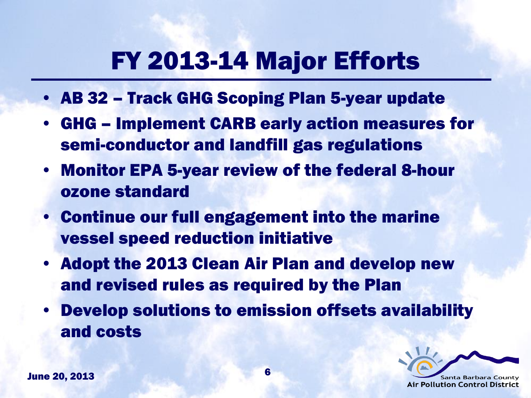## FY 2013-14 Major Efforts

- AB 32 Track GHG Scoping Plan 5-year update
- GHG Implement CARB early action measures for semi-conductor and landfill gas regulations
- Monitor EPA 5-year review of the federal 8-hour ozone standard
- Continue our full engagement into the marine vessel speed reduction initiative
- Adopt the 2013 Clean Air Plan and develop new and revised rules as required by the Plan
- Develop solutions to emission offsets availability and costs